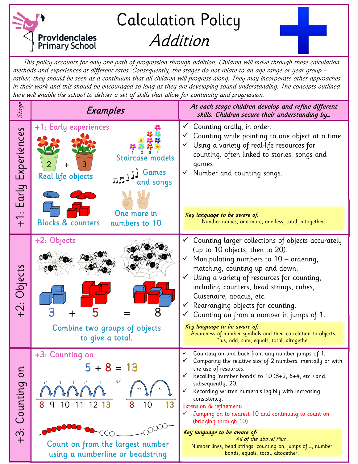

This policy accounts for only one path of progression through addition. Children will move through these calculation methods and experiences at different rates. Consequently, the stages do not relate to an age range or year group – rather, they should be seen as a continuum that all children will progress along. They may incorporate other approaches in their work and this should be encouraged so long as they are developing sound understanding. The concepts outlined here will enable the school to deliver a set of skills that allow for continuity and progression.

| Stage                           | Examples                                                                                               | At each stage children develop and refine different<br>skills. Children secure their understanding by                                                                                                                                                                                                                                                                                                                                                                       |
|---------------------------------|--------------------------------------------------------------------------------------------------------|-----------------------------------------------------------------------------------------------------------------------------------------------------------------------------------------------------------------------------------------------------------------------------------------------------------------------------------------------------------------------------------------------------------------------------------------------------------------------------|
| Early Experiences               | +1: Early experiences<br>Staircase models<br>3<br>+<br>Games<br>Real life objects<br>IJJ.<br>and songs | Counting orally, in order.<br>$\checkmark$<br>Counting while pointing to one object at a time.<br>Using a variety of real-life resources for<br>counting, often linked to stories, songs and<br>qames.<br>Number and counting songs.                                                                                                                                                                                                                                        |
| $\ddot{\phantom{a}}$ .<br>$+$   | One more in<br><b>Blocks &amp; counters</b><br>numbers to 10                                           | Key language to be aware of:<br>Number names, one more, one less, total, altogether.                                                                                                                                                                                                                                                                                                                                                                                        |
| +2: Objects                     | +2: Objects<br>Combine two groups of objects                                                           | Counting larger collections of objects accurately<br>(up to 10 objects, then to 20).<br>Manipulating numbers to 10 - ordering,<br>matching, counting up and down.<br>Using a variety of resources for counting,<br>including counters, bead strings, cubes,<br>Cuisenaire, abacus, etc.<br>Rearranging objects for counting.<br>Counting on from a number in jumps of 1.<br>Key language to be aware of:                                                                    |
|                                 | to give a total.                                                                                       | Awareness of number symbols and their correlation to objects.<br>Plus, add, sum, equals, total, altogether.                                                                                                                                                                                                                                                                                                                                                                 |
| Counting on<br>$\ddot{\hat{3}}$ | +3: Counting on<br>$5 + 8 =$<br>13<br>or<br>$+1$<br>$+1$<br>$+1$<br>8<br>8<br>q<br>10<br>13<br>10      | Counting on and back from any number jumps of 1.<br>Comparing the relative size of 2 numbers, mentally or with<br>the use of resources.<br>Recalling 'number bonds' to 10 (8+2, 6+4, etc.) and,<br>subsequently, 20.<br>Recording written numerals legibly with increasing<br>consistency.<br><b>Extension &amp; refinement:</b><br>Jumping on to nearest 10 and continuing to count on<br>(bridging through 10).<br>Key language to be aware of:<br>All of the above! Plus |
|                                 | Count on from the largest number<br>using a numberline or beadstring                                   | Number lines, bead strings, counting on, jumps of , number<br>bonds, equals, total, altogether,                                                                                                                                                                                                                                                                                                                                                                             |